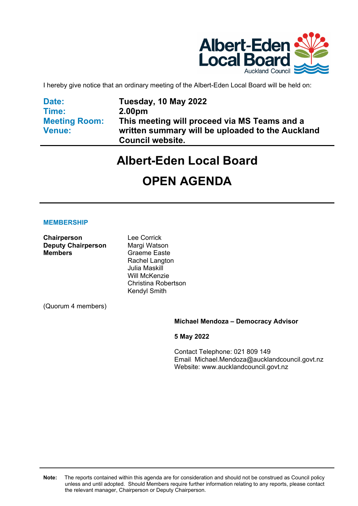

I hereby give notice that an ordinary meeting of the Albert-Eden Local Board will be held on:

**Date: Time: Meeting Room: Venue:** 

**Tuesday, 10 May 2022 2.00pm This meeting will proceed via MS Teams and a written summary will be uploaded to the Auckland Council website.** 

# **Albert-Eden Local Board**

# **OPEN AGENDA**

### **MEMBERSHIP**

**Chairperson** Lee Corrick **Deputy Chairperson Margi Watson Members Graeme Easte** 

Rachel Langton Julia Maskill Will McKenzie Christina Robertson Kendyl Smith

(Quorum 4 members)

### **Michael Mendoza – Democracy Advisor**

**5 May 2022**

Contact Telephone: 021 809 149 Email: Michael.Mendoza@aucklandcouncil.govt.nz Website: www.aucklandcouncil.govt.nz

**Note:** The reports contained within this agenda are for consideration and should not be construed as Council policy unless and until adopted. Should Members require further information relating to any reports, please contact the relevant manager, Chairperson or Deputy Chairperson.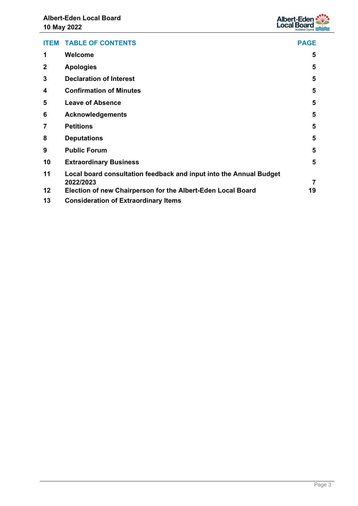

|                | <b>ITEM TABLE OF CONTENTS</b>                                                   | <b>PAGE</b> |
|----------------|---------------------------------------------------------------------------------|-------------|
| 1              | Welcome                                                                         | 5           |
| $\mathbf{2}$   | <b>Apologies</b>                                                                | 5           |
| 3              | <b>Declaration of Interest</b>                                                  | 5           |
| 4              | <b>Confirmation of Minutes</b>                                                  | 5           |
| 5              | <b>Leave of Absence</b>                                                         | 5           |
| 6              | <b>Acknowledgements</b>                                                         | 5           |
| $\overline{7}$ | <b>Petitions</b>                                                                | 5           |
| 8              | <b>Deputations</b>                                                              | 5           |
| 9              | <b>Public Forum</b>                                                             | 5           |
| 10             | <b>Extraordinary Business</b>                                                   | 5           |
| 11             | Local board consultation feedback and input into the Annual Budget<br>2022/2023 | 7           |
| 12             | Election of new Chairperson for the Albert-Eden Local Board                     | 19          |
| 13             | <b>Consideration of Extraordinary Items</b>                                     |             |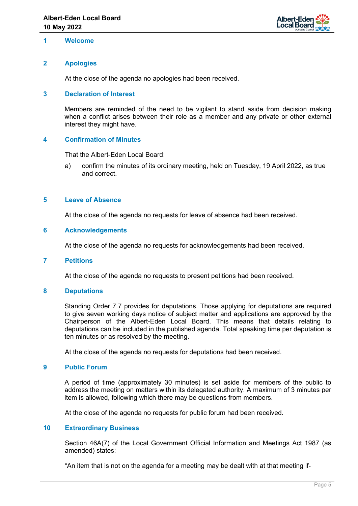

### <span id="page-4-0"></span>**1 Welcome**

### <span id="page-4-1"></span>**2 Apologies**

At the close of the agenda no apologies had been received.

#### **3 Declaration of Interest**

Members are reminded of the need to be vigilant to stand aside from decision making when a conflict arises between their role as a member and any private or other external interest they might have.

#### <span id="page-4-2"></span>**4 Confirmation of Minutes**

That the Albert-Eden Local Board:

a) confirm the minutes of its ordinary meeting, held on Tuesday, 19 April 2022, as true and correct.

#### <span id="page-4-3"></span>**5 Leave of Absence**

At the close of the agenda no requests for leave of absence had been received.

#### **6 Acknowledgements**

At the close of the agenda no requests for acknowledgements had been received.

#### **7 Petitions**

At the close of the agenda no requests to present petitions had been received.

#### **8 Deputations**

Standing Order 7.7 provides for deputations. Those applying for deputations are required to give seven working days notice of subject matter and applications are approved by the Chairperson of the Albert-Eden Local Board. This means that details relating to deputations can be included in the published agenda. Total speaking time per deputation is ten minutes or as resolved by the meeting.

At the close of the agenda no requests for deputations had been received.

### <span id="page-4-4"></span>**9 Public Forum**

A period of time (approximately 30 minutes) is set aside for members of the public to address the meeting on matters within its delegated authority. A maximum of 3 minutes per item is allowed, following which there may be questions from members.

At the close of the agenda no requests for public forum had been received.

#### **10 Extraordinary Business**

Section 46A(7) of the Local Government Official Information and Meetings Act 1987 (as amended) states:

"An item that is not on the agenda for a meeting may be dealt with at that meeting if-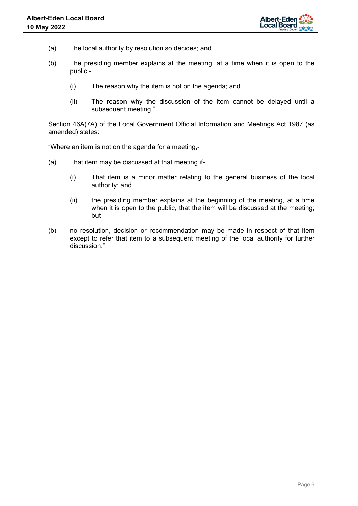

- (a) The local authority by resolution so decides; and
- (b) The presiding member explains at the meeting, at a time when it is open to the public,-
	- (i) The reason why the item is not on the agenda; and
	- (ii) The reason why the discussion of the item cannot be delayed until a subsequent meeting."

Section 46A(7A) of the Local Government Official Information and Meetings Act 1987 (as amended) states:

"Where an item is not on the agenda for a meeting,-

- (a) That item may be discussed at that meeting if-
	- (i) That item is a minor matter relating to the general business of the local authority; and
	- (ii) the presiding member explains at the beginning of the meeting, at a time when it is open to the public, that the item will be discussed at the meeting; but
- (b) no resolution, decision or recommendation may be made in respect of that item except to refer that item to a subsequent meeting of the local authority for further discussion."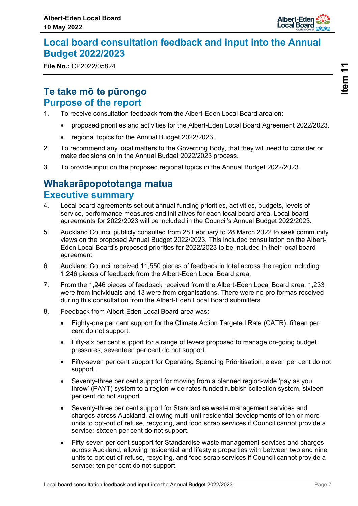

## <span id="page-6-0"></span>**Local board consultation feedback and input into the Annual Budget 2022/2023**

**File No.:** CP2022/05824

## **Te take mō te pūrongo Purpose of the report**

- 1. To receive consultation feedback from the Albert-Eden Local Board area on:
	- proposed priorities and activities for the Albert-Eden Local Board Agreement 2022/2023.
	- regional topics for the Annual Budget 2022/2023.
- 2. To recommend any local matters to the Governing Body, that they will need to consider or make decisions on in the Annual Budget 2022/2023 process.
- 3. To provide input on the proposed regional topics in the Annual Budget 2022/2023.

## **Whakarāpopototanga matua Executive summary**

- 4. Local board agreements set out annual funding priorities, activities, budgets, levels of service, performance measures and initiatives for each local board area. Local board agreements for 2022/2023 will be included in the Council's Annual Budget 2022/2023.
- 5. Auckland Council publicly consulted from 28 February to 28 March 2022 to seek community views on the proposed Annual Budget 2022/2023. This included consultation on the Albert-Eden Local Board's proposed priorities for 2022/2023 to be included in their local board agreement.
- 6. Auckland Council received 11,550 pieces of feedback in total across the region including 1,246 pieces of feedback from the Albert-Eden Local Board area.
- 7. From the 1,246 pieces of feedback received from the Albert-Eden Local Board area, 1,233 were from individuals and 13 were from organisations. There were no pro formas received during this consultation from the Albert-Eden Local Board submitters.
- 8. Feedback from Albert-Eden Local Board area was:
	- Eighty-one per cent support for the Climate Action Targeted Rate (CATR), fifteen per cent do not support.
	- Fifty-six per cent support for a range of levers proposed to manage on-going budget pressures, seventeen per cent do not support.
	- Fifty-seven per cent support for Operating Spending Prioritisation, eleven per cent do not support.
	- Seventy-three per cent support for moving from a planned region-wide 'pay as you throw' (PAYT) system to a region-wide rates-funded rubbish collection system, sixteen per cent do not support.
	- Seventy-three per cent support for Standardise waste management services and charges across Auckland, allowing multi-unit residential developments of ten or more units to opt-out of refuse, recycling, and food scrap services if Council cannot provide a service; sixteen per cent do not support.
	- Fifty-seven per cent support for Standardise waste management services and charges across Auckland, allowing residential and lifestyle properties with between two and nine units to opt-out of refuse, recycling, and food scrap services if Council cannot provide a service; ten per cent do not support.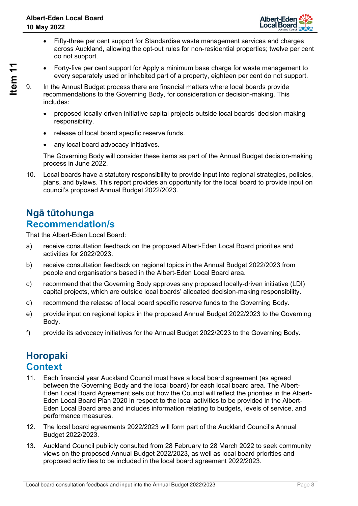

- Fifty-three per cent support for Standardise waste management services and charges across Auckland, allowing the opt-out rules for non-residential properties; twelve per cent do not support.
- Forty-five per cent support for Apply a minimum base charge for waste management to every separately used or inhabited part of a property, eighteen per cent do not support.

- 9. In the Annual Budget process there are financial matters where local boards provide recommendations to the Governing Body, for consideration or decision-making. This includes:
	- proposed locally-driven initiative capital projects outside local boards' decision-making responsibility.
	- release of local board specific reserve funds.
	- any local board advocacy initiatives.

The Governing Body will consider these items as part of the Annual Budget decision-making process in June 2022.

10. Local boards have a statutory responsibility to provide input into regional strategies, policies, plans, and bylaws. This report provides an opportunity for the local board to provide input on council's proposed Annual Budget 2022/2023.

## **Ngā tūtohunga Recommendation/s**

That the Albert-Eden Local Board:

- a) receive consultation feedback on the proposed Albert-Eden Local Board priorities and activities for 2022/2023.
- b) receive consultation feedback on regional topics in the Annual Budget 2022/2023 from people and organisations based in the Albert-Eden Local Board area.
- c) recommend that the Governing Body approves any proposed locally-driven initiative (LDI) capital projects, which are outside local boards' allocated decision-making responsibility.
- d) recommend the release of local board specific reserve funds to the Governing Body.
- e) provide input on regional topics in the proposed Annual Budget 2022/2023 to the Governing Body.
- f) provide its advocacy initiatives for the Annual Budget 2022/2023 to the Governing Body.

## **Horopaki Context**

- 11. Each financial year Auckland Council must have a local board agreement (as agreed between the Governing Body and the local board) for each local board area. The Albert-Eden Local Board Agreement sets out how the Council will reflect the priorities in the Albert-Eden Local Board Plan 2020 in respect to the local activities to be provided in the Albert-Eden Local Board area and includes information relating to budgets, levels of service, and performance measures.
- 12. The local board agreements 2022/2023 will form part of the Auckland Council's Annual Budget 2022/2023.
- 13. Auckland Council publicly consulted from 28 February to 28 March 2022 to seek community views on the proposed Annual Budget 2022/2023, as well as local board priorities and proposed activities to be included in the local board agreement 2022/2023.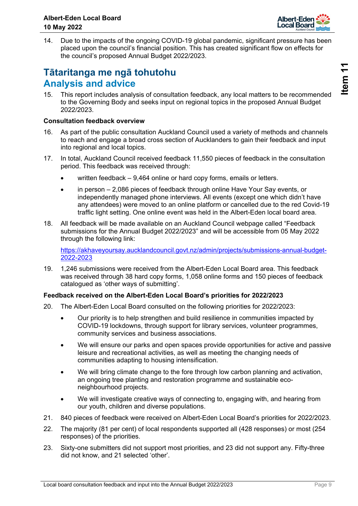

14. Due to the impacts of the ongoing COVID-19 global pandemic, significant pressure has been placed upon the council's financial position. This has created significant flow on effects for the council's proposed Annual Budget 2022/2023.

## **Tātaritanga me ngā tohutohu Analysis and advice**

15. This report includes analysis of consultation feedback, any local matters to be recommended to the Governing Body and seeks input on regional topics in the proposed Annual Budget 2022/2023.

### **Consultation feedback overview**

- 16. As part of the public consultation Auckland Council used a variety of methods and channels to reach and engage a broad cross section of Aucklanders to gain their feedback and input into regional and local topics.
- 17. In total, Auckland Council received feedback 11,550 pieces of feedback in the consultation period. This feedback was received through:
	- written feedback 9,464 online or hard copy forms, emails or letters.
	- in person 2,086 pieces of feedback through online Have Your Say events, or independently managed phone interviews. All events (except one which didn't have any attendees) were moved to an online platform or cancelled due to the red Covid-19 traffic light setting. One online event was held in the Albert-Eden local board area.
- 18. All feedback will be made available on an Auckland Council webpage called "Feedback submissions for the Annual Budget 2022/2023" and will be accessible from 05 May 2022 through the following link:

[https://akhaveyoursay.aucklandcouncil.govt.nz/admin/projects/submissions-annual-budget-](https://akhaveyoursay.aucklandcouncil.govt.nz/admin/projects/submissions-annual-budget-2022-2023)[2022-2023](https://akhaveyoursay.aucklandcouncil.govt.nz/admin/projects/submissions-annual-budget-2022-2023)

19. 1,246 submissions were received from the Albert-Eden Local Board area. This feedback was received through 38 hard copy forms, 1,058 online forms and 150 pieces of feedback catalogued as 'other ways of submitting'.

## **Feedback received on the Albert-Eden Local Board's priorities for 2022/2023**

- 20. The Albert-Eden Local Board consulted on the following priorities for 2022/2023:
	- Our priority is to help strengthen and build resilience in communities impacted by COVID-19 lockdowns, through support for library services, volunteer programmes, community services and business associations.
	- We will ensure our parks and open spaces provide opportunities for active and passive leisure and recreational activities, as well as meeting the changing needs of communities adapting to housing intensification.
	- We will bring climate change to the fore through low carbon planning and activation, an ongoing tree planting and restoration programme and sustainable econeighbourhood projects.
	- We will investigate creative ways of connecting to, engaging with, and hearing from our youth, children and diverse populations.
- 21. 840 pieces of feedback were received on Albert-Eden Local Board's priorities for 2022/2023.
- 22. The majority (81 per cent) of local respondents supported all (428 responses) or most (254 responses) of the priorities.
- 23. Sixty-one submitters did not support most priorities, and 23 did not support any. Fifty-three did not know, and 21 selected 'other'.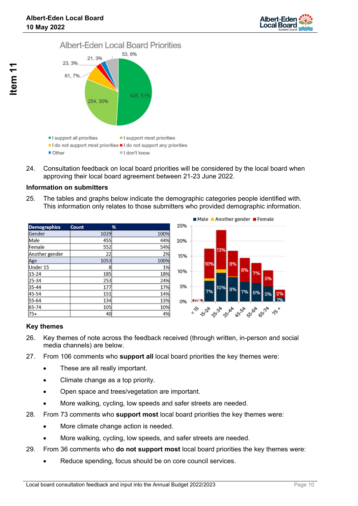



24. Consultation feedback on local board priorities will be considered by the local board when approving their local board agreement between 21-23 June 2022.

## **Information on submitters**

25. The tables and graphs below indicate the demographic categories people identified with. This information only relates to those submitters who provided demographic information.

| <b>Demographics</b> | <b>Count</b> | %    |
|---------------------|--------------|------|
| Gender              | 1029         | 100% |
| Male                | 455          | 44%  |
| Female              | 552          | 54%  |
| Another gender      | 22           | 2%   |
| Age                 | 1053         | 100% |
| Under 15            | 8            | 1%   |
| $15 - 24$           | 185          | 18%  |
| 25-34               | 253          | 24%  |
| 35-44               | 177          | 17%  |
| 45-54               | 151          | 14%  |
| 55-64               | 134          | 13%  |
| 65-74               | 105          | 10%  |
| 75+                 | 40           | 4%   |



## **Key themes**

- 26. Key themes of note across the feedback received (through written, in-person and social media channels) are below.
- 27. From 106 comments who **support all** local board priorities the key themes were:
	- These are all really important.
	- Climate change as a top priority.
	- Open space and trees/vegetation are important.
	- More walking, cycling, low speeds and safer streets are needed.
- 28. From 73 comments who **support most** local board priorities the key themes were:
	- More climate change action is needed.
	- More walking, cycling, low speeds, and safer streets are needed.
- 29. From 36 comments who **do not support most** local board priorities the key themes were:
	- Reduce spending, focus should be on core council services.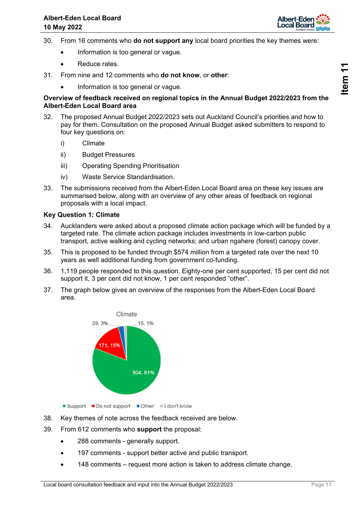

- 30. From 16 comments who **do not support any** local board priorities the key themes were:
	- Information is too general or vague.
	- **•** Reduce rates
- 31. From nine and 12 comments who **do not know**, or **other**:
	- Information is too general or vague.

### **Overview of feedback received on regional topics in the Annual Budget 2022/2023 from the Albert-Eden Local Board area**

- 32. The proposed Annual Budget 2022/2023 sets out Auckland Council's priorities and how to pay for them. Consultation on the proposed Annual Budget asked submitters to respond to four key questions on:
	- i) Climate
	- ii) Budget Pressures
	- iii) Operating Spending Prioritisation
	- iv) Waste Service Standardisation.
- 33. The submissions received from the Albert-Eden Local Board area on these key issues are summarised below, along with an overview of any other areas of feedback on regional proposals with a local impact.

## **Key Question 1: Climate**

- 34. Aucklanders were asked about a proposed climate action package which will be funded by a targeted rate. The climate action package includes investments in low-carbon public transport, active walking and cycling networks; and urban ngahere (forest) canopy cover.
- 35. This is proposed to be funded through \$574 million from a targeted rate over the next 10 years as well additional funding from government co-funding.
- 36. 1,119 people responded to this question. Eighty-one per cent supported, 15 per cent did not support it, 3 per cent did not know, 1 per cent responded "other".
- 37. The graph below gives an overview of the responses from the Albert-Eden Local Board area.



- Support Do not support Other I don't know
- 38. Key themes of note across the feedback received are below.
- 39. From 612 comments who **support** the proposal:
	- 288 comments generally support.
	- 197 comments support better active and public transport.
	- 148 comments request more action is taken to address climate change.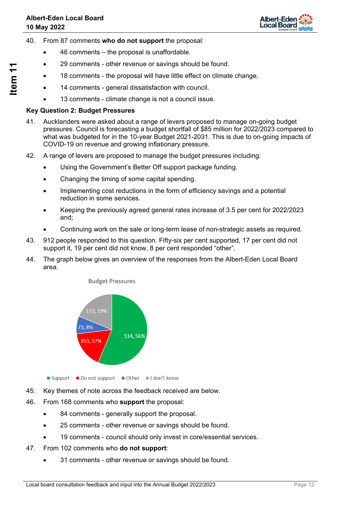

- 40. From 87 comments **who do not support** the proposal:
	- 46 comments the proposal is unaffordable.
	- 29 comments other revenue or savings should be found.
	- 18 comments the proposal will have little effect on climate change.
	- 14 comments general dissatisfaction with council.
	- 13 comments climate change is not a council issue.

## **Key Question 2: Budget Pressures**

- 41. Aucklanders were asked about a range of levers proposed to manage on-going budget pressures. Council is forecasting a budget shortfall of \$85 million for 2022/2023 compared to what was budgeted for in the 10-year Budget 2021-2031. This is due to on-going impacts of COVID-19 on revenue and growing inflationary pressure.
- 42. A range of levers are proposed to manage the budget pressures including:
	- Using the Government's Better Off support package funding.
	- Changing the timing of some capital spending.
	- Implementing cost reductions in the form of efficiency savings and a potential reduction in some services.
	- Keeping the previously agreed general rates increase of 3.5 per cent for 2022/2023 and;
	- Continuing work on the sale or long-term lease of non-strategic assets as required.
- 43. 912 people responded to this question. Fifty-six per cent supported, 17 per cent did not support it, 19 per cent did not know, 8 per cent responded "other".
- 44. The graph below gives an overview of the responses from the Albert-Eden Local Board area.



- Support Do not support Other I don't know
- 45. Key themes of note across the feedback received are below.
- 46. From 168 comments who **support** the proposal:
	- 84 comments generally support the proposal.
	- 25 comments other revenue or savings should be found.
	- 19 comments council should only invest in core/essential services.
- 47. From 102 comments who **do not support**:
	- 31 comments other revenue or savings should be found.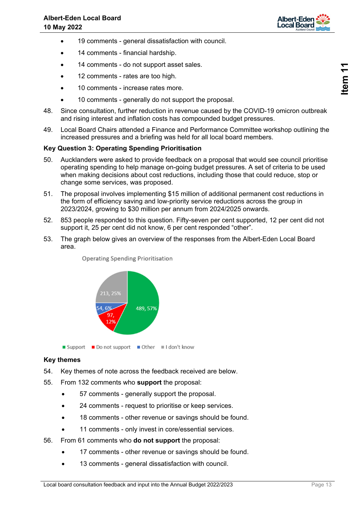

- 19 comments general dissatisfaction with council.
- 14 comments financial hardship.
- 14 comments do not support asset sales.
- 12 comments rates are too high.
- 10 comments increase rates more.
- 10 comments generally do not support the proposal.
- 48. Since consultation, further reduction in revenue caused by the COVID-19 omicron outbreak and rising interest and inflation costs has compounded budget pressures.
- 49. Local Board Chairs attended a Finance and Performance Committee workshop outlining the increased pressures and a briefing was held for all local board members.

### **Key Question 3: Operating Spending Prioritisation**

- 50. Aucklanders were asked to provide feedback on a proposal that would see council prioritise operating spending to help manage on-going budget pressures. A set of criteria to be used when making decisions about cost reductions, including those that could reduce, stop or change some services, was proposed.
- 51. The proposal involves implementing \$15 million of additional permanent cost reductions in the form of efficiency saving and low-priority service reductions across the group in 2023/2024, growing to \$30 million per annum from 2024/2025 onwards.
- 52. 853 people responded to this question. Fifty-seven per cent supported, 12 per cent did not support it, 25 per cent did not know, 6 per cent responded "other".
- 53. The graph below gives an overview of the responses from the Albert-Eden Local Board area.



**Operating Spending Prioritisation** 

 $\Box$  Support  $\Box$  Do not support  $\Box$  Other  $\Box$  I don't know

### **Key themes**

- 54. Key themes of note across the feedback received are below.
- 55. From 132 comments who **support** the proposal:
	- 57 comments generally support the proposal.
	- 24 comments request to prioritise or keep services.
	- 18 comments other revenue or savings should be found.
	- 11 comments only invest in core/essential services.
- 56. From 61 comments who **do not support** the proposal:
	- 17 comments other revenue or savings should be found.
	- 13 comments general dissatisfaction with council.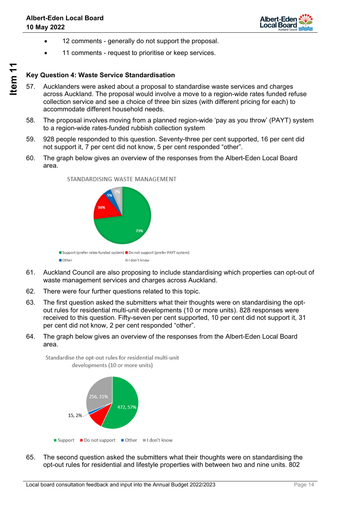

- 12 comments generally do not support the proposal.
- 11 comments request to prioritise or keep services.

## **Key Question 4: Waste Service Standardisation**

- 57. Aucklanders were asked about a proposal to standardise waste services and charges across Auckland. The proposal would involve a move to a region-wide rates funded refuse collection service and see a choice of three bin sizes (with different pricing for each) to accommodate different household needs.
- 58. The proposal involves moving from a planned region-wide 'pay as you throw' (PAYT) system to a region-wide rates-funded rubbish collection system
- 59. 928 people responded to this question. Seventy-three per cent supported, 16 per cent did not support it, 7 per cent did not know, 5 per cent responded "other".
- 60. The graph below gives an overview of the responses from the Albert-Eden Local Board area.



STANDARDISING WASTE MANAGEMENT

- 61. Auckland Council are also proposing to include standardising which properties can opt-out of waste management services and charges across Auckland.
- 62. There were four further questions related to this topic.
- 63. The first question asked the submitters what their thoughts were on standardising the optout rules for residential multi-unit developments (10 or more units). 828 responses were received to this question. Fifty-seven per cent supported, 10 per cent did not support it, 31 per cent did not know, 2 per cent responded "other".
- 64. The graph below gives an overview of the responses from the Albert-Eden Local Board area.



Standardise the opt-out rules for residential multi-unit

65. The second question asked the submitters what their thoughts were on standardising the opt-out rules for residential and lifestyle properties with between two and nine units. 802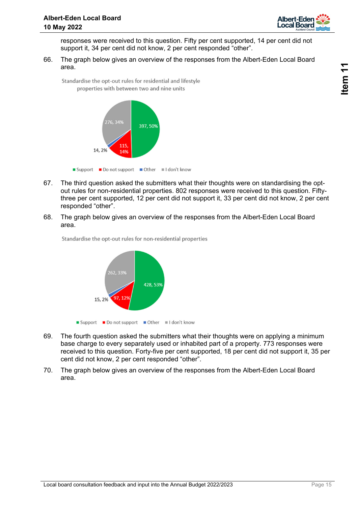

responses were received to this question. Fifty per cent supported, 14 per cent did not support it, 34 per cent did not know, 2 per cent responded "other".

66. The graph below gives an overview of the responses from the Albert-Eden Local Board area.

Standardise the opt-out rules for residential and lifestyle properties with between two and nine units



- 67. The third question asked the submitters what their thoughts were on standardising the optout rules for non-residential properties. 802 responses were received to this question. Fiftythree per cent supported, 12 per cent did not support it, 33 per cent did not know, 2 per cent responded "other".
- 68. The graph below gives an overview of the responses from the Albert-Eden Local Board area.



Standardise the opt-out rules for non-residential properties

- 69. The fourth question asked the submitters what their thoughts were on applying a minimum base charge to every separately used or inhabited part of a property. 773 responses were received to this question. Forty-five per cent supported, 18 per cent did not support it, 35 per cent did not know, 2 per cent responded "other".
- 70. The graph below gives an overview of the responses from the Albert-Eden Local Board area.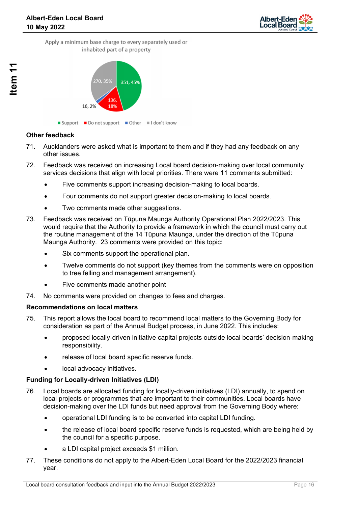

16, 2%

### **Other feedback**

- 71. Aucklanders were asked what is important to them and if they had any feedback on any other issues.
- 72. Feedback was received on increasing Local board decision-making over local community services decisions that align with local priorities. There were 11 comments submitted:
	- Five comments support increasing decision-making to local boards.
	- Four comments do not support greater decision-making to local boards.
	- Two comments made other suggestions.
- 73. Feedback was received on Tūpuna Maunga Authority Operational Plan 2022/2023. This would require that the Authority to provide a framework in which the council must carry out the routine management of the 14 Tūpuna Maunga, under the direction of the Tūpuna Maunga Authority. 23 comments were provided on this topic:
	- Six comments support the operational plan.
	- Twelve comments do not support (key themes from the comments were on opposition to tree felling and management arrangement).
	- Five comments made another point
- 74. No comments were provided on changes to fees and charges.

### **Recommendations on local matters**

- 75. This report allows the local board to recommend local matters to the Governing Body for consideration as part of the Annual Budget process, in June 2022. This includes:
	- proposed locally-driven initiative capital projects outside local boards' decision-making responsibility.
	- release of local board specific reserve funds.
	- local advocacy initiatives.

### **Funding for Locally-driven Initiatives (LDI)**

- 76. Local boards are allocated funding for locally-driven initiatives (LDI) annually, to spend on local projects or programmes that are important to their communities. Local boards have decision-making over the LDI funds but need approval from the Governing Body where:
	- operational LDI funding is to be converted into capital LDI funding.
	- the release of local board specific reserve funds is requested, which are being held by the council for a specific purpose.
	- a LDI capital project exceeds \$1 million.
- 77. These conditions do not apply to the Albert-Eden Local Board for the 2022/2023 financial year.

<sup>■</sup> Support ■ Do not support ■ Other ■ I don't know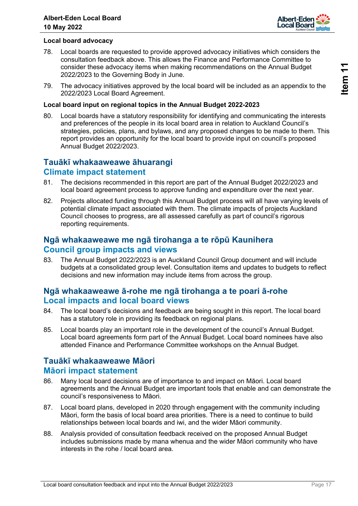

## **Local board advocacy**

- 78. Local boards are requested to provide approved advocacy initiatives which considers the consultation feedback above. This allows the Finance and Performance Committee to consider these advocacy items when making recommendations on the Annual Budget 2022/2023 to the Governing Body in June.
- 79. The advocacy initiatives approved by the local board will be included as an appendix to the 2022/2023 Local Board Agreement.

### **Local board input on regional topics in the Annual Budget 2022-2023**

80. Local boards have a statutory responsibility for identifying and communicating the interests and preferences of the people in its local board area in relation to Auckland Council's strategies, policies, plans, and bylaws, and any proposed changes to be made to them. This report provides an opportunity for the local board to provide input on council's proposed Annual Budget 2022/2023.

## **Tauākī whakaaweawe āhuarangi Climate impact statement**

- 81. The decisions recommended in this report are part of the Annual Budget 2022/2023 and local board agreement process to approve funding and expenditure over the next year.
- 82. Projects allocated funding through this Annual Budget process will all have varying levels of potential climate impact associated with them. The climate impacts of projects Auckland Council chooses to progress, are all assessed carefully as part of council's rigorous reporting requirements.

## **Ngā whakaaweawe me ngā tirohanga a te rōpū Kaunihera Council group impacts and views**

83. The Annual Budget 2022/2023 is an Auckland Council Group document and will include budgets at a consolidated group level. Consultation items and updates to budgets to reflect decisions and new information may include items from across the group.

## **Ngā whakaaweawe ā-rohe me ngā tirohanga a te poari ā-rohe Local impacts and local board views**

- 84. The local board's decisions and feedback are being sought in this report. The local board has a statutory role in providing its feedback on regional plans.
- 85. Local boards play an important role in the development of the council's Annual Budget. Local board agreements form part of the Annual Budget. Local board nominees have also attended Finance and Performance Committee workshops on the Annual Budget.

## **Tauākī whakaaweawe Māori Māori impact statement**

- 86. Many local board decisions are of importance to and impact on Māori. Local board agreements and the Annual Budget are important tools that enable and can demonstrate the council's responsiveness to Māori.
- 87. Local board plans, developed in 2020 through engagement with the community including Māori, form the basis of local board area priorities. There is a need to continue to build relationships between local boards and iwi, and the wider Māori community.
- 88. Analysis provided of consultation feedback received on the proposed Annual Budget includes submissions made by mana whenua and the wider Māori community who have interests in the rohe / local board area.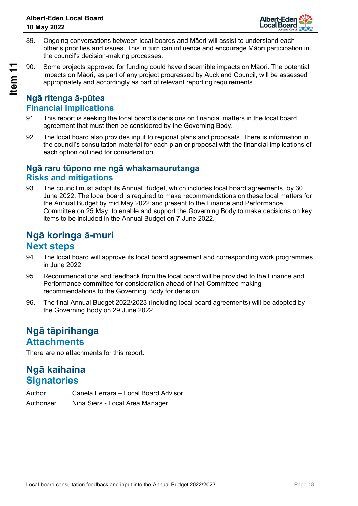

- 89. Ongoing conversations between local boards and Māori will assist to understand each other's priorities and issues. This in turn can influence and encourage Māori participation in the council's decision-making processes.
- 90. Some projects approved for funding could have discernible impacts on Māori. The potential impacts on Māori, as part of any project progressed by Auckland Council, will be assessed appropriately and accordingly as part of relevant reporting requirements.

## **Ngā ritenga ā-pūtea Financial implications**

- 91. This report is seeking the local board's decisions on financial matters in the local board agreement that must then be considered by the Governing Body.
- 92. The local board also provides input to regional plans and proposals. There is information in the council's consultation material for each plan or proposal with the financial implications of each option outlined for consideration.

## **Ngā raru tūpono me ngā whakamaurutanga Risks and mitigations**

93. The council must adopt its Annual Budget, which includes local board agreements, by 30 June 2022. The local board is required to make recommendations on these local matters for the Annual Budget by mid May 2022 and present to the Finance and Performance Committee on 25 May, to enable and support the Governing Body to make decisions on key items to be included in the Annual Budget on 7 June 2022.

## **Ngā koringa ā-muri Next steps**

- 94. The local board will approve its local board agreement and corresponding work programmes in June 2022.
- 95. Recommendations and feedback from the local board will be provided to the Finance and Performance committee for consideration ahead of that Committee making recommendations to the Governing Body for decision.
- 96. The final Annual Budget 2022/2023 (including local board agreements) will be adopted by the Governing Body on 29 June 2022.

## **Ngā tāpirihanga Attachments**

There are no attachments for this report.

## **Ngā kaihaina Signatories**

| Author     | Canela Ferrara – Local Board Advisor |
|------------|--------------------------------------|
| Authoriser | Nina Siers - Local Area Manager      |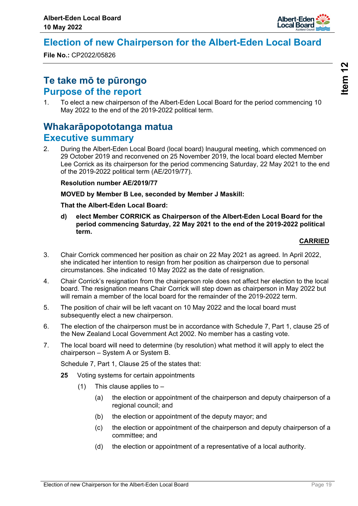

## <span id="page-18-0"></span>**Election of new Chairperson for the Albert-Eden Local Board**

**File No.:** CP2022/05826

## **Te take mō te pūrongo Purpose of the report**

1. To elect a new chairperson of the Albert-Eden Local Board for the period commencing 10 May 2022 to the end of the 2019-2022 political term.

## **Whakarāpopototanga matua Executive summary**

2. During the Albert-Eden Local Board (local board) Inaugural meeting, which commenced on 29 October 2019 and reconvened on 25 November 2019, the local board elected Member Lee Corrick as its chairperson for the period commencing Saturday, 22 May 2021 to the end of the 2019-2022 political term (AE/2019/77).

## **Resolution number AE/2019/77**

**MOVED by Member B Lee, seconded by Member J Maskill:** 

### **That the Albert-Eden Local Board:**

**d) elect Member CORRICK as Chairperson of the Albert-Eden Local Board for the period commencing Saturday, 22 May 2021 to the end of the 2019-2022 political term.**

## **CARRIED**

- 3. Chair Corrick commenced her position as chair on 22 May 2021 as agreed. In April 2022, she indicated her intention to resign from her position as chairperson due to personal circumstances. She indicated 10 May 2022 as the date of resignation.
- 4. Chair Corrick's resignation from the chairperson role does not affect her election to the local board. The resignation means Chair Corrick will step down as chairperson in May 2022 but will remain a member of the local board for the remainder of the 2019-2022 term.
- 5. The position of chair will be left vacant on 10 May 2022 and the local board must subsequently elect a new chairperson.
- 6. The election of the chairperson must be in accordance with Schedule 7, Part 1, clause 25 of the New Zealand Local Government Act 2002. No member has a casting vote.
- 7. The local board will need to determine (by resolution) what method it will apply to elect the chairperson – System A or System B.

Schedule 7, Part 1, Clause 25 of the states that:

- **25** Voting systems for certain appointments
	- (1) This clause applies to  $-$ 
		- (a) the election or appointment of the chairperson and deputy chairperson of a regional council; and
		- (b) the election or appointment of the deputy mayor; and
		- (c) the election or appointment of the chairperson and deputy chairperson of a committee; and
		- (d) the election or appointment of a representative of a local authority.